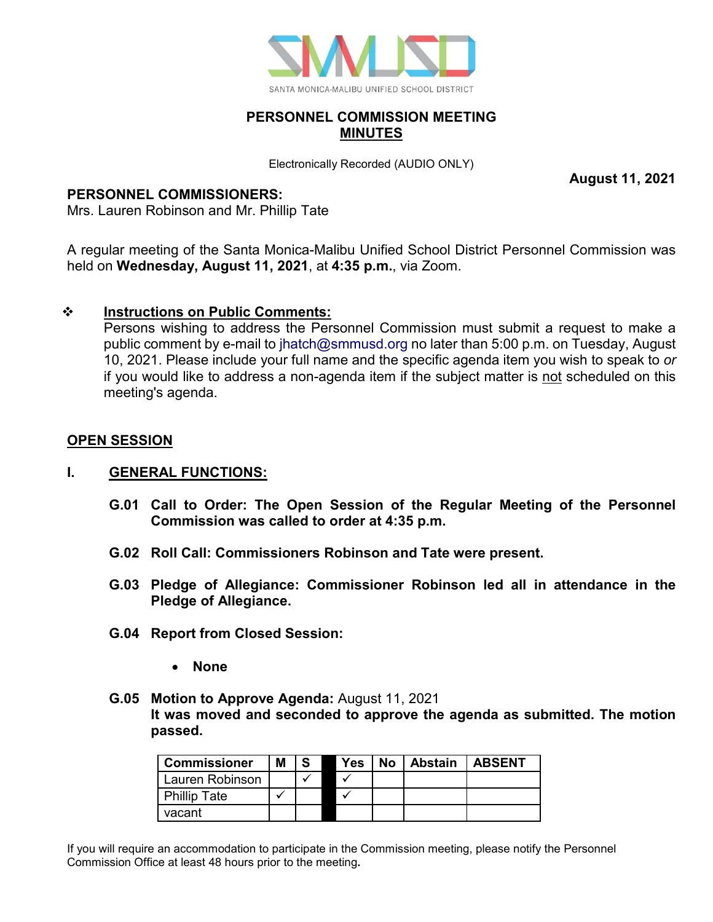

### **PERSONNEL COMMISSION MEETING MINUTES**

Electronically Recorded (AUDIO ONLY)

#### **PERSONNEL COMMISSIONERS:**

Mrs. Lauren Robinson and Mr. Phillip Tate

A regular meeting of the Santa Monica-Malibu Unified School District Personnel Commission was held on **Wednesday, August 11, 2021**, at **4:35 p.m.**, via Zoom.

### **Instructions on Public Comments:**

Persons wishing to address the Personnel Commission must submit a request to make a public comment by e-mail to [jhatch@smmusd.org](mailto:jhatch@smmusd.org) no later than 5:00 p.m. on Tuesday, August 10, 2021. Please include your full name and the specific agenda item you wish to speak to *or* if you would like to address a non-agenda item if the subject matter is not scheduled on this meeting's agenda.

# **OPEN SESSION**

#### **I. GENERAL FUNCTIONS:**

- **G.01 Call to Order: The Open Session of the Regular Meeting of the Personnel Commission was called to order at 4:35 p.m.**
- **G.02 Roll Call: Commissioners Robinson and Tate were present.**
- **G.03 Pledge of Allegiance: Commissioner Robinson led all in attendance in the Pledge of Allegiance.**
- **G.04 Report from Closed Session:**
	- **None**
- **G.05 Motion to Approve Agenda:** August 11, 2021 **It was moved and seconded to approve the agenda as submitted. The motion passed.**

| <b>Commissioner</b> | Μ |  | Yes | No | Abstain | <b>LABSENT</b> |
|---------------------|---|--|-----|----|---------|----------------|
| Lauren Robinson     |   |  |     |    |         |                |
| <b>Phillip Tate</b> |   |  |     |    |         |                |
| vacant              |   |  |     |    |         |                |

If you will require an accommodation to participate in the Commission meeting, please notify the Personnel Commission Office at least 48 hours prior to the meeting**.** 

**August 11, 2021**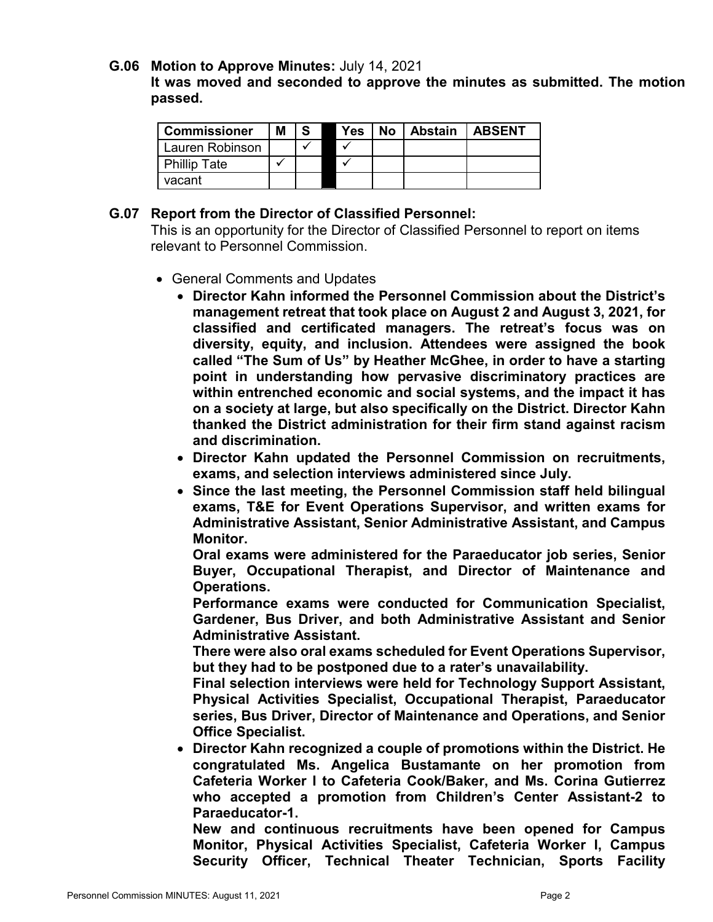#### **G.06 Motion to Approve Minutes:** July 14, 2021

**It was moved and seconded to approve the minutes as submitted. The motion passed.**

| <b>Commissioner</b> | Μ |  | <b>Yes</b> | No Abstain | <b>LABSENT</b> |
|---------------------|---|--|------------|------------|----------------|
| Lauren Robinson     |   |  |            |            |                |
| <b>Phillip Tate</b> |   |  |            |            |                |
| vacant              |   |  |            |            |                |

### **G.07 Report from the Director of Classified Personnel:**

This is an opportunity for the Director of Classified Personnel to report on items relevant to Personnel Commission.

- General Comments and Updates
	- **Director Kahn informed the Personnel Commission about the District's management retreat that took place on August 2 and August 3, 2021, for classified and certificated managers. The retreat's focus was on diversity, equity, and inclusion. Attendees were assigned the book called "The Sum of Us" by Heather McGhee, in order to have a starting point in understanding how pervasive discriminatory practices are within entrenched economic and social systems, and the impact it has on a society at large, but also specifically on the District. Director Kahn thanked the District administration for their firm stand against racism and discrimination.**
	- **Director Kahn updated the Personnel Commission on recruitments, exams, and selection interviews administered since July.**
	- **Since the last meeting, the Personnel Commission staff held bilingual exams, T&E for Event Operations Supervisor, and written exams for Administrative Assistant, Senior Administrative Assistant, and Campus Monitor.**

**Oral exams were administered for the Paraeducator job series, Senior Buyer, Occupational Therapist, and Director of Maintenance and Operations.** 

**Performance exams were conducted for Communication Specialist, Gardener, Bus Driver, and both Administrative Assistant and Senior Administrative Assistant.**

**There were also oral exams scheduled for Event Operations Supervisor, but they had to be postponed due to a rater's unavailability.** 

**Final selection interviews were held for Technology Support Assistant, Physical Activities Specialist, Occupational Therapist, Paraeducator series, Bus Driver, Director of Maintenance and Operations, and Senior Office Specialist.** 

• **Director Kahn recognized a couple of promotions within the District. He congratulated Ms. Angelica Bustamante on her promotion from Cafeteria Worker I to Cafeteria Cook/Baker, and Ms. Corina Gutierrez who accepted a promotion from Children's Center Assistant-2 to Paraeducator-1.**

**New and continuous recruitments have been opened for Campus Monitor, Physical Activities Specialist, Cafeteria Worker I, Campus Security Officer, Technical Theater Technician, Sports Facility**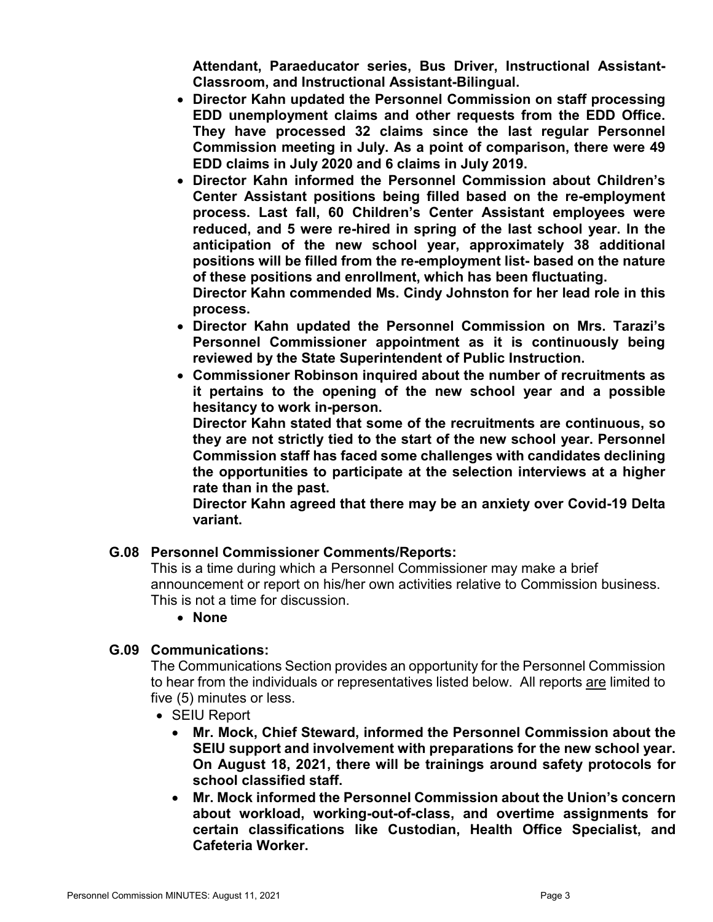**Attendant, Paraeducator series, Bus Driver, Instructional Assistant-Classroom, and Instructional Assistant-Bilingual.**

- **Director Kahn updated the Personnel Commission on staff processing EDD unemployment claims and other requests from the EDD Office. They have processed 32 claims since the last regular Personnel Commission meeting in July. As a point of comparison, there were 49 EDD claims in July 2020 and 6 claims in July 2019.**
- **Director Kahn informed the Personnel Commission about Children's Center Assistant positions being filled based on the re-employment process. Last fall, 60 Children's Center Assistant employees were reduced, and 5 were re-hired in spring of the last school year. In the anticipation of the new school year, approximately 38 additional positions will be filled from the re-employment list- based on the nature of these positions and enrollment, which has been fluctuating. Director Kahn commended Ms. Cindy Johnston for her lead role in this process.**
- **Director Kahn updated the Personnel Commission on Mrs. Tarazi's Personnel Commissioner appointment as it is continuously being reviewed by the State Superintendent of Public Instruction.**
- **Commissioner Robinson inquired about the number of recruitments as it pertains to the opening of the new school year and a possible hesitancy to work in-person.**

**Director Kahn stated that some of the recruitments are continuous, so they are not strictly tied to the start of the new school year. Personnel Commission staff has faced some challenges with candidates declining the opportunities to participate at the selection interviews at a higher rate than in the past.**

**Director Kahn agreed that there may be an anxiety over Covid-19 Delta variant.**

# **G.08 Personnel Commissioner Comments/Reports:**

This is a time during which a Personnel Commissioner may make a brief announcement or report on his/her own activities relative to Commission business. This is not a time for discussion.

• **None**

# **G.09 Communications:**

The Communications Section provides an opportunity for the Personnel Commission to hear from the individuals or representatives listed below. All reports are limited to five (5) minutes or less.

- SEIU Report
	- **Mr. Mock, Chief Steward, informed the Personnel Commission about the SEIU support and involvement with preparations for the new school year. On August 18, 2021, there will be trainings around safety protocols for school classified staff.**
	- **Mr. Mock informed the Personnel Commission about the Union's concern about workload, working-out-of-class, and overtime assignments for certain classifications like Custodian, Health Office Specialist, and Cafeteria Worker.**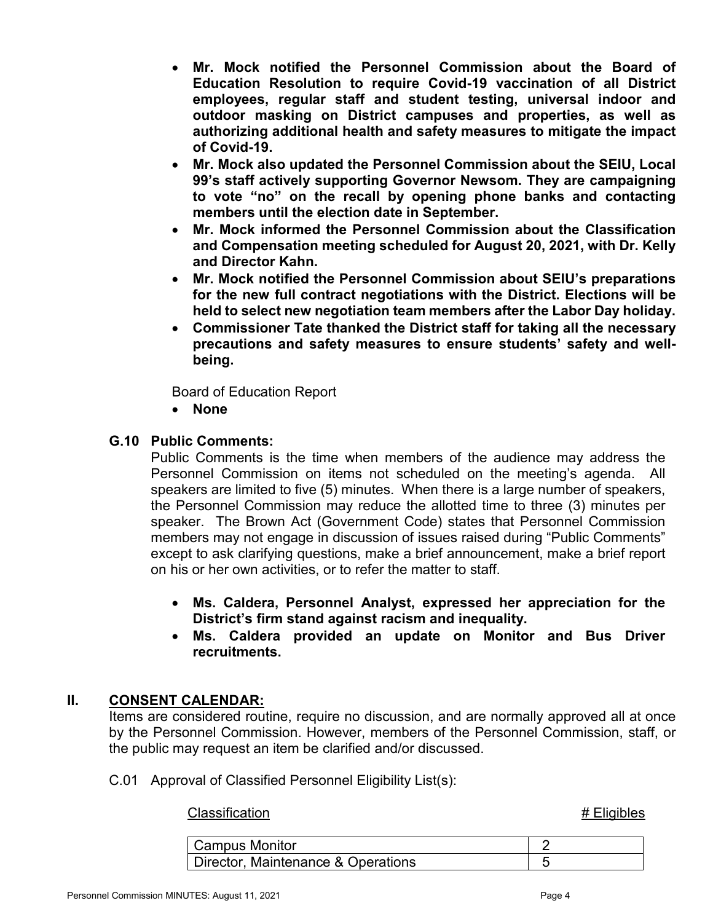- **Mr. Mock notified the Personnel Commission about the Board of Education Resolution to require Covid-19 vaccination of all District employees, regular staff and student testing, universal indoor and outdoor masking on District campuses and properties, as well as authorizing additional health and safety measures to mitigate the impact of Covid-19.**
- **Mr. Mock also updated the Personnel Commission about the SEIU, Local 99's staff actively supporting Governor Newsom. They are campaigning to vote "no" on the recall by opening phone banks and contacting members until the election date in September.**
- **Mr. Mock informed the Personnel Commission about the Classification and Compensation meeting scheduled for August 20, 2021, with Dr. Kelly and Director Kahn.**
- **Mr. Mock notified the Personnel Commission about SEIU's preparations for the new full contract negotiations with the District. Elections will be held to select new negotiation team members after the Labor Day holiday.**
- **Commissioner Tate thanked the District staff for taking all the necessary precautions and safety measures to ensure students' safety and wellbeing.**

Board of Education Report

• **None**

# **G.10 Public Comments:**

Public Comments is the time when members of the audience may address the Personnel Commission on items not scheduled on the meeting's agenda. All speakers are limited to five (5) minutes. When there is a large number of speakers, the Personnel Commission may reduce the allotted time to three (3) minutes per speaker. The Brown Act (Government Code) states that Personnel Commission members may not engage in discussion of issues raised during "Public Comments" except to ask clarifying questions, make a brief announcement, make a brief report on his or her own activities, or to refer the matter to staff.

- **Ms. Caldera, Personnel Analyst, expressed her appreciation for the District's firm stand against racism and inequality.**
- **Ms. Caldera provided an update on Monitor and Bus Driver recruitments.**

# **II. CONSENT CALENDAR:**

Items are considered routine, require no discussion, and are normally approved all at once by the Personnel Commission. However, members of the Personnel Commission, staff, or the public may request an item be clarified and/or discussed.

C.01 Approval of Classified Personnel Eligibility List(s):

#### Classification **# Eligibles**

| <b>Campus Monitor</b>              |  |
|------------------------------------|--|
| Director, Maintenance & Operations |  |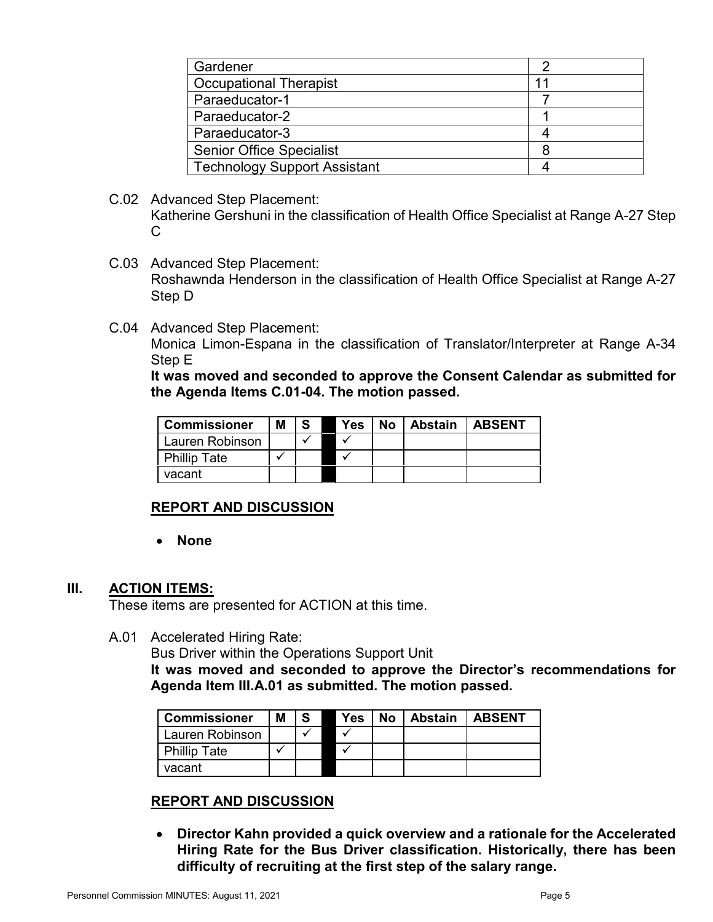| Gardener                            |    |
|-------------------------------------|----|
| <b>Occupational Therapist</b>       | 11 |
| Paraeducator-1                      |    |
| Paraeducator-2                      |    |
| Paraeducator-3                      |    |
| <b>Senior Office Specialist</b>     |    |
| <b>Technology Support Assistant</b> |    |
|                                     |    |

- C.02 Advanced Step Placement: Katherine Gershuni in the classification of Health Office Specialist at Range A-27 Step C
- C.03 Advanced Step Placement: Roshawnda Henderson in the classification of Health Office Specialist at Range A-27 Step D
- C.04 Advanced Step Placement:

Monica Limon-Espana in the classification of Translator/Interpreter at Range A-34 Step E

**It was moved and seconded to approve the Consent Calendar as submitted for the Agenda Items C.01-04. The motion passed.**

| <b>Commissioner</b> | Μ |  | Yes | No l | <b>Abstain</b> | <b>LABSENT</b> |
|---------------------|---|--|-----|------|----------------|----------------|
| Lauren Robinson     |   |  |     |      |                |                |
| <b>Phillip Tate</b> |   |  |     |      |                |                |
| vacant              |   |  |     |      |                |                |

# **REPORT AND DISCUSSION**

• **None**

#### **III. ACTION ITEMS:**

These items are presented for ACTION at this time.

A.01 Accelerated Hiring Rate:

Bus Driver within the Operations Support Unit

**It was moved and seconded to approve the Director's recommendations for Agenda Item III.A.01 as submitted. The motion passed.**

| <b>Commissioner</b> | Μ | -S | <b>Yes</b> | No   Abstain | <b>ABSENT</b> |
|---------------------|---|----|------------|--------------|---------------|
| Lauren Robinson     |   |    |            |              |               |
| <b>Phillip Tate</b> |   |    |            |              |               |
| vacant              |   |    |            |              |               |

# **REPORT AND DISCUSSION**

• **Director Kahn provided a quick overview and a rationale for the Accelerated Hiring Rate for the Bus Driver classification. Historically, there has been difficulty of recruiting at the first step of the salary range.**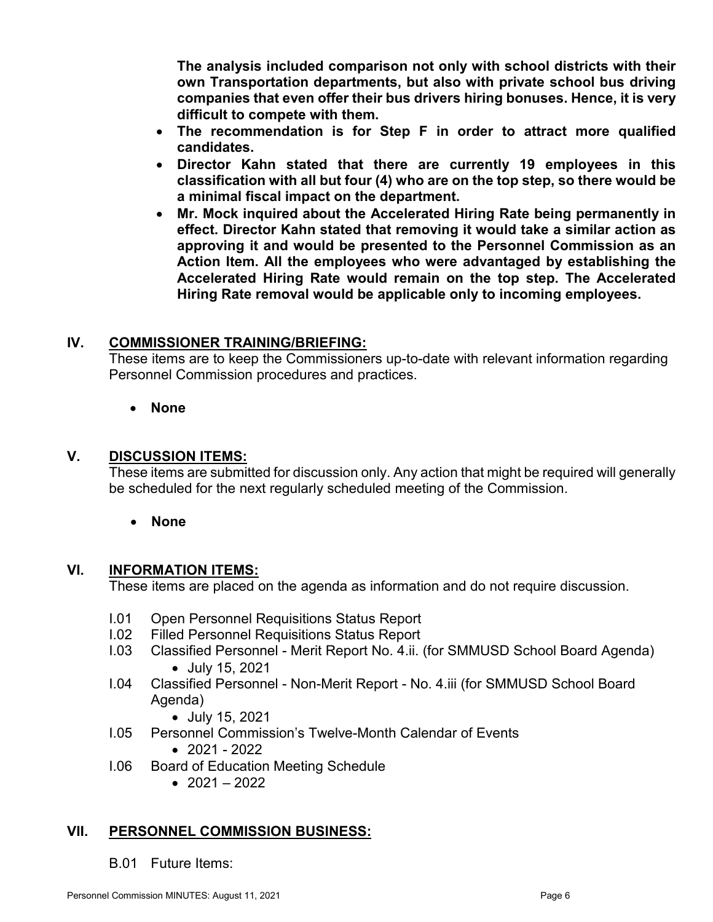**The analysis included comparison not only with school districts with their own Transportation departments, but also with private school bus driving companies that even offer their bus drivers hiring bonuses. Hence, it is very difficult to compete with them.**

- **The recommendation is for Step F in order to attract more qualified candidates.**
- **Director Kahn stated that there are currently 19 employees in this classification with all but four (4) who are on the top step, so there would be a minimal fiscal impact on the department.**
- **Mr. Mock inquired about the Accelerated Hiring Rate being permanently in effect. Director Kahn stated that removing it would take a similar action as approving it and would be presented to the Personnel Commission as an Action Item. All the employees who were advantaged by establishing the Accelerated Hiring Rate would remain on the top step. The Accelerated Hiring Rate removal would be applicable only to incoming employees.**

# **IV. COMMISSIONER TRAINING/BRIEFING:**

These items are to keep the Commissioners up-to-date with relevant information regarding Personnel Commission procedures and practices.

# • **None**

# **V. DISCUSSION ITEMS:**

These items are submitted for discussion only. Any action that might be required will generally be scheduled for the next regularly scheduled meeting of the Commission.

# • **None**

# **VI. INFORMATION ITEMS:**

These items are placed on the agenda as information and do not require discussion.

- I.01 Open Personnel Requisitions Status Report
- I.02 Filled Personnel Requisitions Status Report
- I.03 Classified Personnel Merit Report No. 4.ii. (for SMMUSD School Board Agenda) • July 15, 2021
- I.04 Classified Personnel Non-Merit Report No. 4.iii (for SMMUSD School Board Agenda)
	- July 15, 2021
- I.05 Personnel Commission's Twelve-Month Calendar of Events
	- 2021 2022
- I.06 Board of Education Meeting Schedule
	- $2021 2022$

# **VII. PERSONNEL COMMISSION BUSINESS:**

B.01 Future Items: